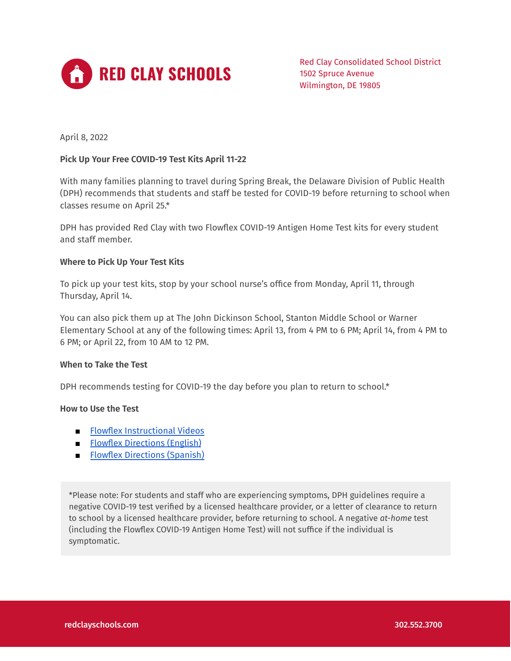

Red Clay Consolidated School District 1502 Spruce Avenue Wilmington, DE 19805

April 8, 2022

### **Pick Up Your Free COVID-19 Test Kits April 11-22**

With many families planning to travel during Spring Break, the Delaware Division of Public Health (DPH) recommends that students and staff be tested for COVID-19 before returning to school when classes resume on April 25.\*

DPH has provided Red Clay with two Flowflex COVID-19 Antigen Home Test kits for every student and staff member.

# **Where to Pick Up Your Test Kits**

To pick up your test kits, stop by your school nurse's office from Monday, April 11, through Thursday, April 14.

You can also pick them up at The John Dickinson School, Stanton Middle School or Warner Elementary School at any of the following times: April 13, from 4 PM to 6 PM; April 14, from 4 PM to 6 PM; or April 22, from 10 AM to 12 PM.

#### **When to Take the Test**

DPH recommends testing for COVID-19 the day before you plan to return to school.\*

### **How to Use the Test**

- Flowflex [Instructional](https://www.aconlabs.com/brands/flowflex/covid-19-antigen-home-test/) Videos
- Flowflex [Directions](https://www.aconlabs.com/wp-content/uploads/2021/10/1151297701-Flowflex-US-COVID-19-Home-Consumer-User-Insert-En-zhe10-101721.pdf) (English)
- Flowflex [Directions](https://www.aconlabs.com/wp-content/uploads/2021/10/ACON-Labs-Flowflex-US-COVID-19-Home-Test-Consumer-Package-Insert-Sp.pdf) (Spanish)

\*Please note: For students and staff who are experiencing symptoms, DPH guidelines require a negative COVID-19 test verified by a licensed healthcare provider, or a letter of clearance to return to school by a licensed healthcare provider, before returning to school. A negative *at-home* test (including the Flowflex COVID-19 Antigen Home Test) will not suffice if the individual is symptomatic.